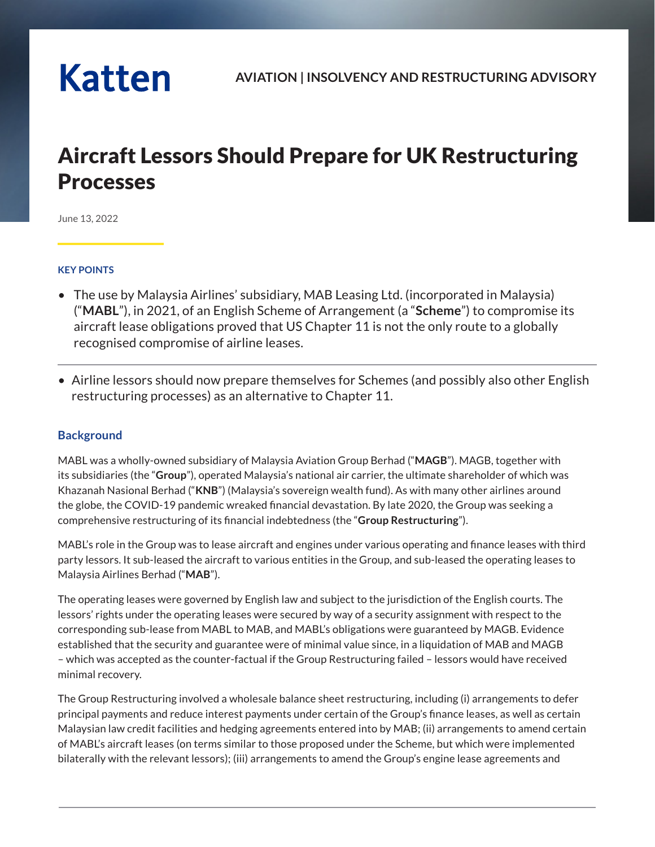# **Katten**

# Aircraft Lessors Should Prepare for UK Restructuring Processes

June 13, 2022

#### **KEY POINTS**

- The use by Malaysia Airlines' subsidiary, MAB Leasing Ltd. (incorporated in Malaysia) ("**MABL**"), in 2021, of an English Scheme of Arrangement (a "**Scheme**") to compromise its aircraft lease obligations proved that US Chapter 11 is not the only route to a globally recognised compromise of airline leases.
- Airline lessors should now prepare themselves for Schemes (and possibly also other English restructuring processes) as an alternative to Chapter 11.

# **Background**

MABL was a wholly-owned subsidiary of Malaysia Aviation Group Berhad ("**MAGB**"). MAGB, together with its subsidiaries (the "**Group**"), operated Malaysia's national air carrier, the ultimate shareholder of which was Khazanah Nasional Berhad ("**KNB**") (Malaysia's sovereign wealth fund). As with many other airlines around the globe, the COVID-19 pandemic wreaked financial devastation. By late 2020, the Group was seeking a comprehensive restructuring of its financial indebtedness (the "**Group Restructuring**").

MABL's role in the Group was to lease aircraft and engines under various operating and finance leases with third party lessors. It sub-leased the aircraft to various entities in the Group, and sub-leased the operating leases to Malaysia Airlines Berhad ("**MAB**").

The operating leases were governed by English law and subject to the jurisdiction of the English courts. The lessors' rights under the operating leases were secured by way of a security assignment with respect to the corresponding sub-lease from MABL to MAB, and MABL's obligations were guaranteed by MAGB. Evidence established that the security and guarantee were of minimal value since, in a liquidation of MAB and MAGB – which was accepted as the counter-factual if the Group Restructuring failed – lessors would have received minimal recovery.

The Group Restructuring involved a wholesale balance sheet restructuring, including (i) arrangements to defer principal payments and reduce interest payments under certain of the Group's finance leases, as well as certain Malaysian law credit facilities and hedging agreements entered into by MAB; (ii) arrangements to amend certain of MABL's aircraft leases (on terms similar to those proposed under the Scheme, but which were implemented bilaterally with the relevant lessors); (iii) arrangements to amend the Group's engine lease agreements and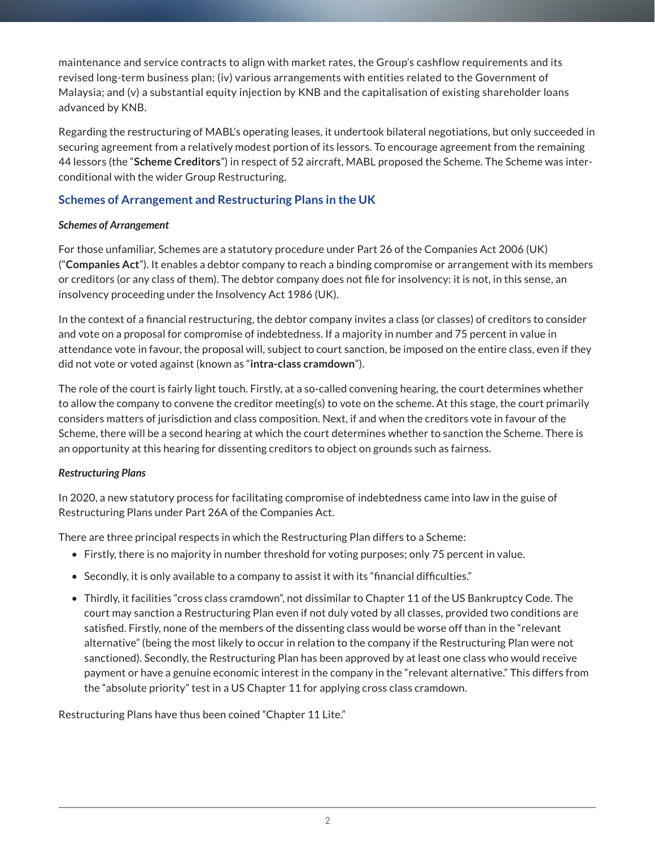maintenance and service contracts to align with market rates, the Group's cashflow requirements and its revised long-term business plan; (iv) various arrangements with entities related to the Government of Malaysia; and (v) a substantial equity injection by KNB and the capitalisation of existing shareholder loans advanced by KNB.

Regarding the restructuring of MABL's operating leases, it undertook bilateral negotiations, but only succeeded in securing agreement from a relatively modest portion of its lessors. To encourage agreement from the remaining 44 lessors (the "**Scheme Creditors**") in respect of 52 aircraft, MABL proposed the Scheme. The Scheme was interconditional with the wider Group Restructuring.

# **Schemes of Arrangement and Restructuring Plans in the UK**

#### *Schemes of Arrangement*

For those unfamiliar, Schemes are a statutory procedure under Part 26 of the Companies Act 2006 (UK) ("**Companies Act**"). It enables a debtor company to reach a binding compromise or arrangement with its members or creditors (or any class of them). The debtor company does not file for insolvency: it is not, in this sense, an insolvency proceeding under the Insolvency Act 1986 (UK).

In the context of a financial restructuring, the debtor company invites a class (or classes) of creditors to consider and vote on a proposal for compromise of indebtedness. If a majority in number and 75 percent in value in attendance vote in favour, the proposal will, subject to court sanction, be imposed on the entire class, even if they did not vote or voted against (known as "**intra-class cramdown**").

The role of the court is fairly light touch. Firstly, at a so-called convening hearing, the court determines whether to allow the company to convene the creditor meeting(s) to vote on the scheme. At this stage, the court primarily considers matters of jurisdiction and class composition. Next, if and when the creditors vote in favour of the Scheme, there will be a second hearing at which the court determines whether to sanction the Scheme. There is an opportunity at this hearing for dissenting creditors to object on grounds such as fairness.

# *Restructuring Plans*

In 2020, a new statutory process for facilitating compromise of indebtedness came into law in the guise of Restructuring Plans under Part 26A of the Companies Act.

There are three principal respects in which the Restructuring Plan differs to a Scheme:

- Firstly, there is no majority in number threshold for voting purposes; only 75 percent in value.
- Secondly, it is only available to a company to assist it with its "financial difficulties."
- Thirdly, it facilities "cross class cramdown", not dissimilar to Chapter 11 of the US Bankruptcy Code. The court may sanction a Restructuring Plan even if not duly voted by all classes, provided two conditions are satisfied. Firstly, none of the members of the dissenting class would be worse off than in the "relevant alternative" (being the most likely to occur in relation to the company if the Restructuring Plan were not sanctioned). Secondly, the Restructuring Plan has been approved by at least one class who would receive payment or have a genuine economic interest in the company in the "relevant alternative." This differs from the "absolute priority" test in a US Chapter 11 for applying cross class cramdown.

Restructuring Plans have thus been coined "Chapter 11 Lite."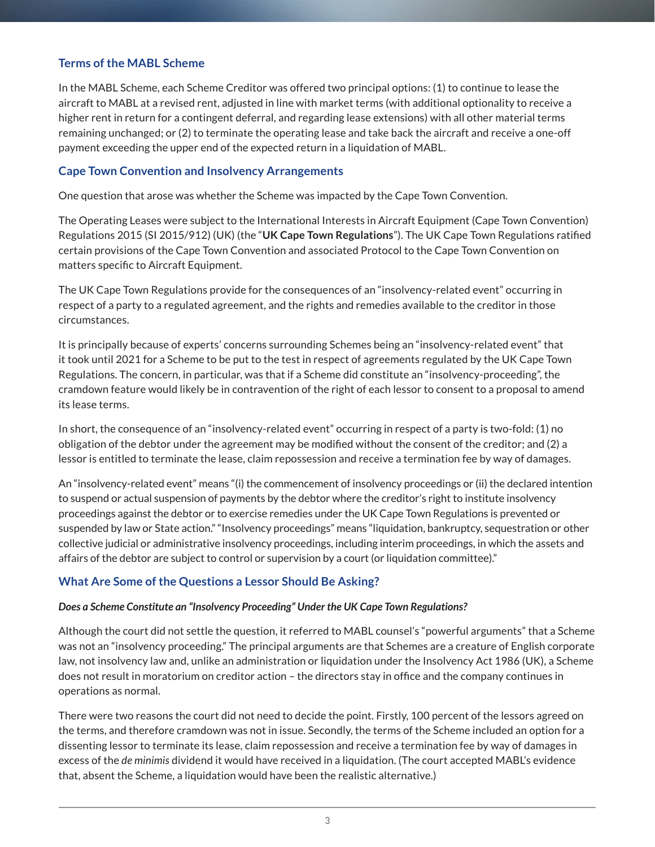#### **Terms of the MABL Scheme**

In the MABL Scheme, each Scheme Creditor was offered two principal options: (1) to continue to lease the aircraft to MABL at a revised rent, adjusted in line with market terms (with additional optionality to receive a higher rent in return for a contingent deferral, and regarding lease extensions) with all other material terms remaining unchanged; or (2) to terminate the operating lease and take back the aircraft and receive a one-off payment exceeding the upper end of the expected return in a liquidation of MABL.

#### **Cape Town Convention and Insolvency Arrangements**

One question that arose was whether the Scheme was impacted by the Cape Town Convention.

The Operating Leases were subject to the International Interests in Aircraft Equipment (Cape Town Convention) Regulations 2015 (SI 2015/912) (UK) (the "**UK Cape Town Regulations**"). The UK Cape Town Regulations ratified certain provisions of the Cape Town Convention and associated Protocol to the Cape Town Convention on matters specific to Aircraft Equipment.

The UK Cape Town Regulations provide for the consequences of an "insolvency-related event" occurring in respect of a party to a regulated agreement, and the rights and remedies available to the creditor in those circumstances.

It is principally because of experts' concerns surrounding Schemes being an "insolvency-related event" that it took until 2021 for a Scheme to be put to the test in respect of agreements regulated by the UK Cape Town Regulations. The concern, in particular, was that if a Scheme did constitute an "insolvency-proceeding", the cramdown feature would likely be in contravention of the right of each lessor to consent to a proposal to amend its lease terms.

In short, the consequence of an "insolvency-related event" occurring in respect of a party is two-fold: (1) no obligation of the debtor under the agreement may be modified without the consent of the creditor; and (2) a lessor is entitled to terminate the lease, claim repossession and receive a termination fee by way of damages.

An "insolvency-related event" means "(i) the commencement of insolvency proceedings or (ii) the declared intention to suspend or actual suspension of payments by the debtor where the creditor's right to institute insolvency proceedings against the debtor or to exercise remedies under the UK Cape Town Regulations is prevented or suspended by law or State action." "Insolvency proceedings" means "liquidation, bankruptcy, sequestration or other collective judicial or administrative insolvency proceedings, including interim proceedings, in which the assets and affairs of the debtor are subject to control or supervision by a court (or liquidation committee)."

#### **What Are Some of the Questions a Lessor Should Be Asking?**

#### *Does a Scheme Constitute an "Insolvency Proceeding" Under the UK Cape Town Regulations?*

Although the court did not settle the question, it referred to MABL counsel's "powerful arguments" that a Scheme was not an "insolvency proceeding." The principal arguments are that Schemes are a creature of English corporate law, not insolvency law and, unlike an administration or liquidation under the Insolvency Act 1986 (UK), a Scheme does not result in moratorium on creditor action – the directors stay in office and the company continues in operations as normal.

There were two reasons the court did not need to decide the point. Firstly, 100 percent of the lessors agreed on the terms, and therefore cramdown was not in issue. Secondly, the terms of the Scheme included an option for a dissenting lessor to terminate its lease, claim repossession and receive a termination fee by way of damages in excess of the *de minimis* dividend it would have received in a liquidation. (The court accepted MABL's evidence that, absent the Scheme, a liquidation would have been the realistic alternative.)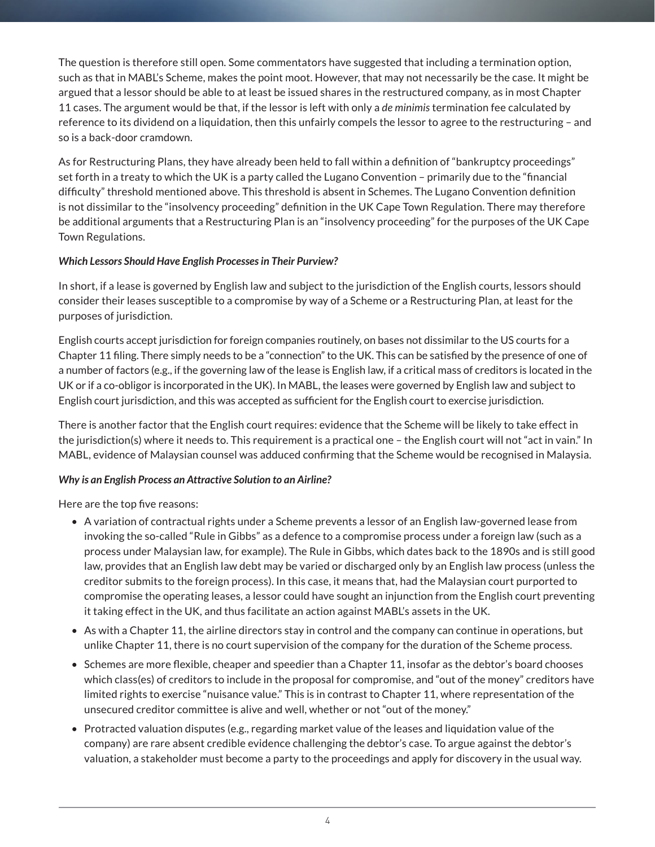The question is therefore still open. Some commentators have suggested that including a termination option, such as that in MABL's Scheme, makes the point moot. However, that may not necessarily be the case. It might be argued that a lessor should be able to at least be issued shares in the restructured company, as in most Chapter 11 cases. The argument would be that, if the lessor is left with only a *de minimis* termination fee calculated by reference to its dividend on a liquidation, then this unfairly compels the lessor to agree to the restructuring – and so is a back-door cramdown.

As for Restructuring Plans, they have already been held to fall within a definition of "bankruptcy proceedings" set forth in a treaty to which the UK is a party called the Lugano Convention – primarily due to the "financial difficulty" threshold mentioned above. This threshold is absent in Schemes. The Lugano Convention definition is not dissimilar to the "insolvency proceeding" definition in the UK Cape Town Regulation. There may therefore be additional arguments that a Restructuring Plan is an "insolvency proceeding" for the purposes of the UK Cape Town Regulations.

#### *Which Lessors Should Have English Processes in Their Purview?*

In short, if a lease is governed by English law and subject to the jurisdiction of the English courts, lessors should consider their leases susceptible to a compromise by way of a Scheme or a Restructuring Plan, at least for the purposes of jurisdiction.

English courts accept jurisdiction for foreign companies routinely, on bases not dissimilar to the US courts for a Chapter 11 filing. There simply needs to be a "connection" to the UK. This can be satisfied by the presence of one of a number of factors (e.g., if the governing law of the lease is English law, if a critical mass of creditors is located in the UK or if a co-obligor is incorporated in the UK). In MABL, the leases were governed by English law and subject to English court jurisdiction, and this was accepted as sufficient for the English court to exercise jurisdiction.

There is another factor that the English court requires: evidence that the Scheme will be likely to take effect in the jurisdiction(s) where it needs to. This requirement is a practical one – the English court will not "act in vain." In MABL, evidence of Malaysian counsel was adduced confirming that the Scheme would be recognised in Malaysia.

#### *Why is an English Process an Attractive Solution to an Airline?*

Here are the top five reasons:

- A variation of contractual rights under a Scheme prevents a lessor of an English law-governed lease from invoking the so-called "Rule in Gibbs" as a defence to a compromise process under a foreign law (such as a process under Malaysian law, for example). The Rule in Gibbs, which dates back to the 1890s and is still good law, provides that an English law debt may be varied or discharged only by an English law process (unless the creditor submits to the foreign process). In this case, it means that, had the Malaysian court purported to compromise the operating leases, a lessor could have sought an injunction from the English court preventing it taking effect in the UK, and thus facilitate an action against MABL's assets in the UK.
- As with a Chapter 11, the airline directors stay in control and the company can continue in operations, but unlike Chapter 11, there is no court supervision of the company for the duration of the Scheme process.
- Schemes are more flexible, cheaper and speedier than a Chapter 11, insofar as the debtor's board chooses which class(es) of creditors to include in the proposal for compromise, and "out of the money" creditors have limited rights to exercise "nuisance value." This is in contrast to Chapter 11, where representation of the unsecured creditor committee is alive and well, whether or not "out of the money."
- Protracted valuation disputes (e.g., regarding market value of the leases and liquidation value of the company) are rare absent credible evidence challenging the debtor's case. To argue against the debtor's valuation, a stakeholder must become a party to the proceedings and apply for discovery in the usual way.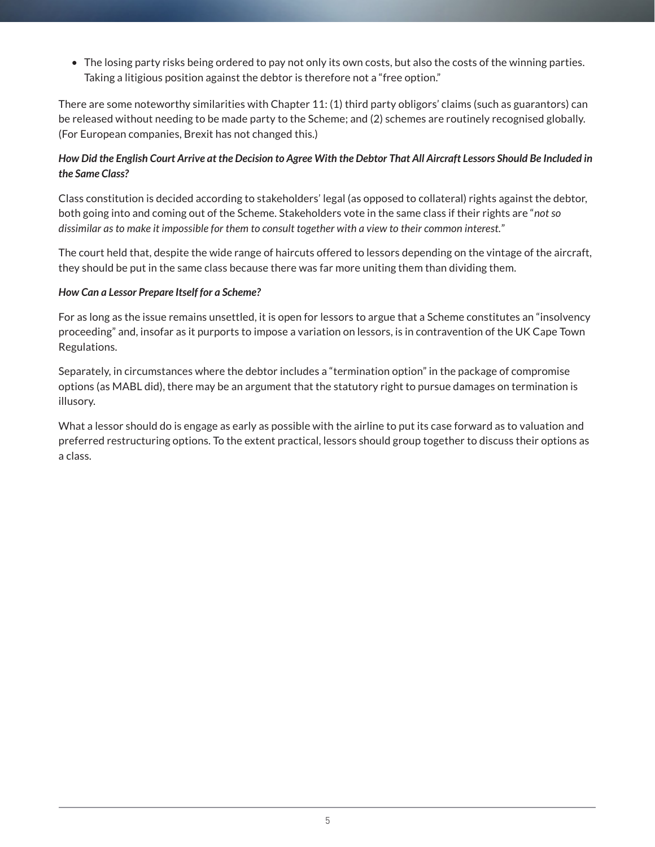• The losing party risks being ordered to pay not only its own costs, but also the costs of the winning parties. Taking a litigious position against the debtor is therefore not a "free option."

There are some noteworthy similarities with Chapter 11: (1) third party obligors' claims (such as guarantors) can be released without needing to be made party to the Scheme; and (2) schemes are routinely recognised globally. (For European companies, Brexit has not changed this.)

### *How Did the English Court Arrive at the Decision to Agree With the Debtor That All Aircraft Lessors Should Be Included in the Same Class?*

Class constitution is decided according to stakeholders' legal (as opposed to collateral) rights against the debtor, both going into and coming out of the Scheme. Stakeholders vote in the same class if their rights are "*not so dissimilar as to make it impossible for them to consult together with a view to their common interest.*"

The court held that, despite the wide range of haircuts offered to lessors depending on the vintage of the aircraft, they should be put in the same class because there was far more uniting them than dividing them.

#### *How Can a Lessor Prepare Itself for a Scheme?*

For as long as the issue remains unsettled, it is open for lessors to argue that a Scheme constitutes an "insolvency proceeding" and, insofar as it purports to impose a variation on lessors, is in contravention of the UK Cape Town Regulations.

Separately, in circumstances where the debtor includes a "termination option" in the package of compromise options (as MABL did), there may be an argument that the statutory right to pursue damages on termination is illusory.

What a lessor should do is engage as early as possible with the airline to put its case forward as to valuation and preferred restructuring options. To the extent practical, lessors should group together to discuss their options as a class.